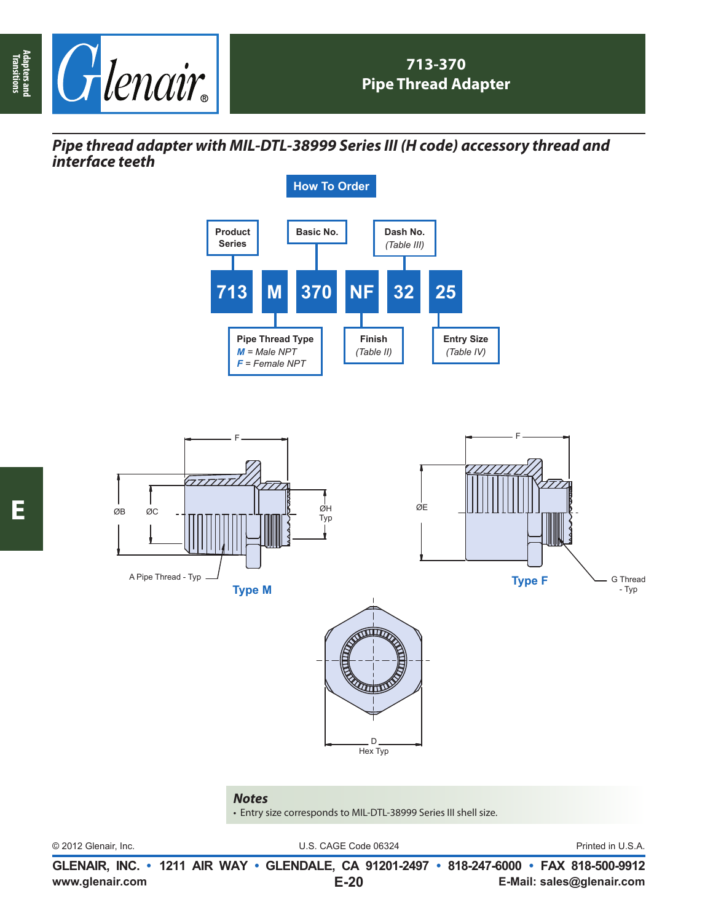

*Pipe thread adapter with MIL-DTL-38999 Series III (H code) accessory thread and interface teeth*





*Notes*

• Entry size corresponds to MIL-DTL-38999 Series III shell size.

© 2012 Glenair, Inc. U.S. CAGE Code 06324 Printed in U.S.A.

**www.glenair.com E-Mail: sales@glenair.com GLENAIR, INC. • 1211 AIR WAY • GLENDALE, CA 91201-2497 • 818-247-6000 • FAX 818-500-9912 E-20**

**Adapters and Transitions**

Adapters and<br>Transitions